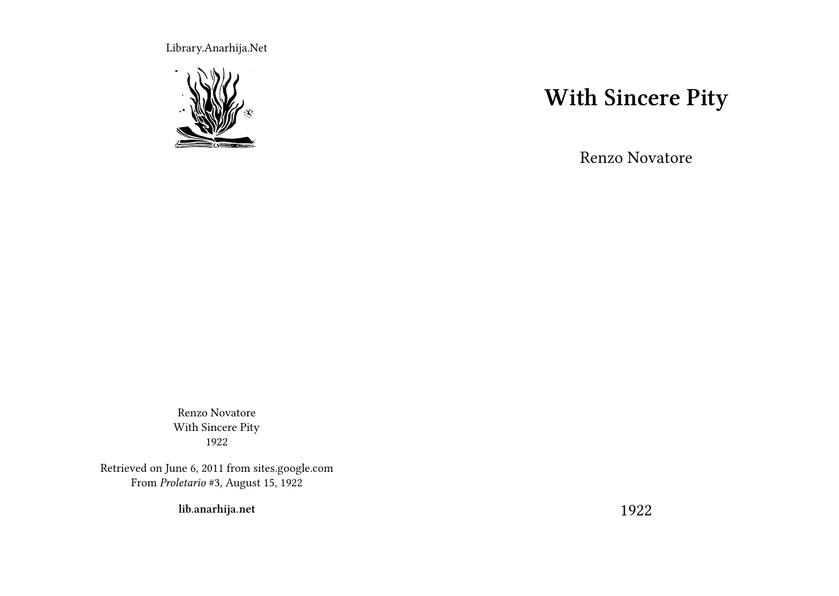Library.Anarhija.Net



# **With Sincere Pity**

Renzo Novatore

Renzo Novatore With Sincere Pity 1922

Retrieved on June 6, 2011 from sites.google.com From *Proletario* #3, August 15, 1922

**lib.anarhija.net**

1922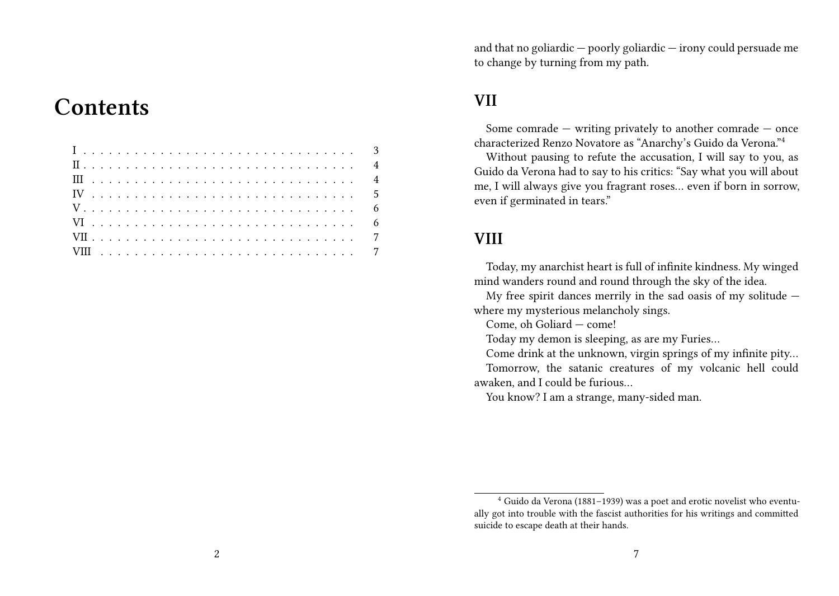## **Contents**

and that no goliardic  $-$  poorly goliardic  $-$  irony could persuade me to change by turning from my path.

#### **VII**

Some comrade — writing privately to another comrade — once characterized Renzo Novatore as "Anarchy's Guido da Verona."<sup>4</sup>

Without pausing to refute the accusation, I will say to you, as Guido da Verona had to say to his critics: "Say what you will about me, I will always give you fragrant roses… even if born in sorrow, even if germinated in tears."

#### **VIII**

Today, my anarchist heart is full of infinite kindness. My winged mind wanders round and round through the sky of the idea.

My free spirit dances merrily in the sad oasis of my solitude  $$ where my mysterious melancholy sings.

Come, oh Goliard — come!

Today my demon is sleeping, as are my Furies…

Come drink at the unknown, virgin springs of my infinite pity…

Tomorrow, the satanic creatures of my volcanic hell could awaken, and I could be furious…

You know? I am a strange, many-sided man.

<sup>4</sup> Guido da Verona (1881–1939) was a poet and erotic novelist who eventually got into trouble with the fascist authorities for his writings and committed suicide to escape death at their hands.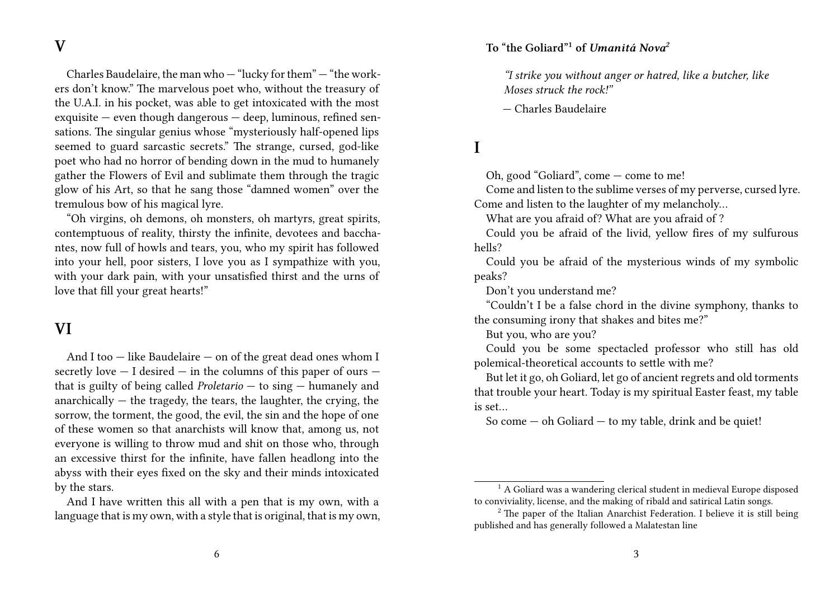Charles Baudelaire, the man who — "lucky for them" — "the workers don't know." The marvelous poet who, without the treasury of the U.A.I. in his pocket, was able to get intoxicated with the most exquisite  $-$  even though dangerous  $-$  deep, luminous, refined sensations. The singular genius whose "mysteriously half-opened lips seemed to guard sarcastic secrets." The strange, cursed, god-like poet who had no horror of bending down in the mud to humanely gather the Flowers of Evil and sublimate them through the tragic glow of his Art, so that he sang those "damned women" over the tremulous bow of his magical lyre.

"Oh virgins, oh demons, oh monsters, oh martyrs, great spirits, contemptuous of reality, thirsty the infinite, devotees and bacchantes, now full of howls and tears, you, who my spirit has followed into your hell, poor sisters, I love you as I sympathize with you, with your dark pain, with your unsatisfied thirst and the urns of love that fill your great hearts!"

### **VI**

And I too — like Baudelaire — on of the great dead ones whom I secretly love  $-1$  desired  $-$  in the columns of this paper of ours  $$ that is guilty of being called *Proletario* — to sing — humanely and anarchically  $-$  the tragedy, the tears, the laughter, the crying, the sorrow, the torment, the good, the evil, the sin and the hope of one of these women so that anarchists will know that, among us, not everyone is willing to throw mud and shit on those who, through an excessive thirst for the infinite, have fallen headlong into the abyss with their eyes fixed on the sky and their minds intoxicated by the stars.

And I have written this all with a pen that is my own, with a language that is my own, with a style that is original, that is my own, **To "the Goliard"<sup>1</sup> of** *Umanitá Nova<sup>2</sup>*

*"I strike you without anger or hatred, like a butcher, like Moses struck the rock!"*

— Charles Baudelaire

#### **I**

Oh, good "Goliard", come — come to me!

Come and listen to the sublime verses of my perverse, cursed lyre. Come and listen to the laughter of my melancholy…

What are you afraid of? What are you afraid of ?

Could you be afraid of the livid, yellow fires of my sulfurous hells?

Could you be afraid of the mysterious winds of my symbolic peaks?

Don't you understand me?

"Couldn't I be a false chord in the divine symphony, thanks to the consuming irony that shakes and bites me?"

But you, who are you?

Could you be some spectacled professor who still has old polemical-theoretical accounts to settle with me?

But let it go, oh Goliard, let go of ancient regrets and old torments that trouble your heart. Today is my spiritual Easter feast, my table is set…

So come  $-$  oh Goliard  $-$  to my table, drink and be quiet!

<sup>&</sup>lt;sup>1</sup> A Goliard was a wandering clerical student in medieval Europe disposed to conviviality, license, and the making of ribald and satirical Latin songs.

<sup>&</sup>lt;sup>2</sup> The paper of the Italian Anarchist Federation. I believe it is still being published and has generally followed a Malatestan line